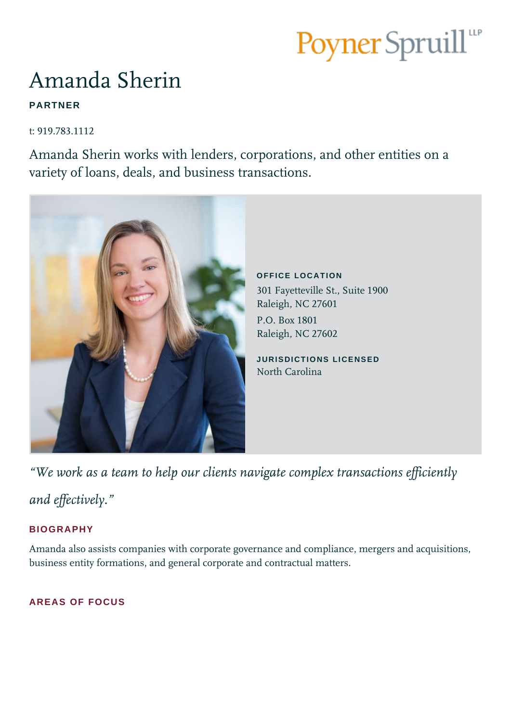# Poyner Spruill<sup>ur</sup>

# Amanda Sherin

# **PARTNER**

t: 919.783.1112

Amanda Sherin works with lenders, corporations, and other entities on a variety of loans, deals, and business transactions.



*"We work as a team to help our clients navigate complex transactions efficiently* 

*and effectively."*

## **BIOGRAPHY**

Amanda also assists companies with corporate governance and compliance, mergers and acquisitions, business entity formations, and general corporate and contractual matters.

### **AREAS OF FOCUS**